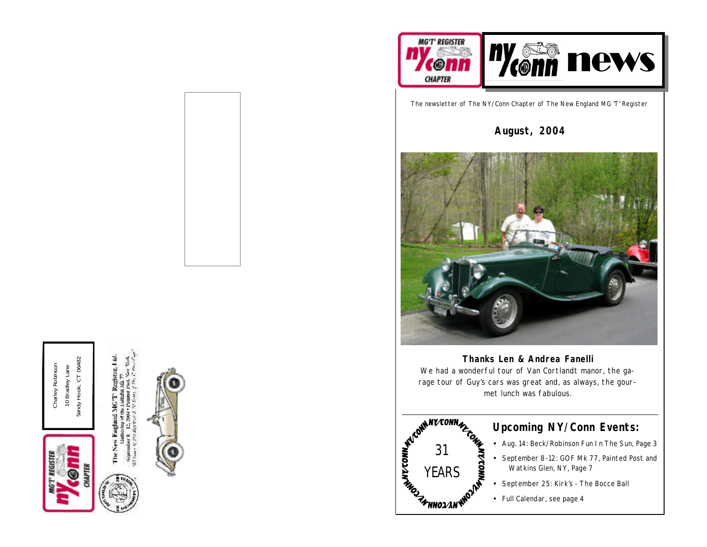

Sandy Hook, CT 06482 Sandy Hook, CT 06482 Charley Robinson Charley Robinson 10 Bradley Lane 10 Bradley Lane







The newsletter of The NY/Conn Chapter of The New England MG 'T' Register

**August, 2004**



**Thanks Len & Andrea Fanelli** We had a wonderful tour of Van Cortlandt manor, the garage tour of Guy's cars was great and, as always, the gourmet lunch was fabulous.



## **Upcoming NY/Conn Events:**

- Aug. 14: Beck/Robinson Fun In The Sun, Page 3
- September 8-12: GOF Mk 77, Painted Post and Watkins Glen, NY, Page 7
- September 25: Kirk's The Bocce Ball
- Full Calendar, see page 4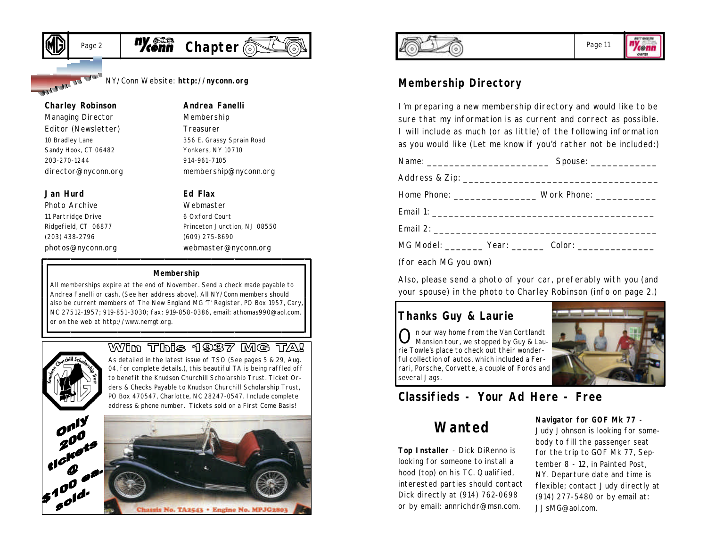



NY/Conn Website: **http://nyconn.org**

#### **Charley Robinson**

ALLAND IN THE

*Managing Director Editor (Newsletter)* 10 Bradley Lane Sandy Hook, CT 06482 203-270-1244 director@nyconn.org

### **Jan Hurd**

*Photo Archive* 11 Partridge Drive Ridgefield, CT 06877 (203) 438-2796 photos@nyconn.org *Membership Treasurer* 356 E. Grassy Sprain Road Yonkers, NY 10710

**Andrea Fanelli**

914-961-7105 membership@nyconn.org

### **Ed Flax**

*Webmaster* 6 Oxford Court Princeton Junction, NJ 08550 (609) 275-8690 webmaster@nyconn.org

### **Membership**

All memberships expire at the end of November. Send a check made payable to Andrea Fanelli or cash. (See her address above). All NY/Conn members should also be current members of The New England MG 'T' Register, PO Box 1957, Cary, NC 27512-1957; 919-851-3030; fax: 919-858-0386, email: athomas990@aol.com, or on the web at http://www.nemgt.org.



### Wim This 1937 MG TA!

As detailed in the latest issue of TSO (See pages 5 & 29, Aug. 04, for complete details.), this beautiful TA is being raffled off to benefit the Knudson Churchill Scholarship Trust. Ticket Orders & Checks Payable to Knudson Churchill Scholarship Trust, PO Box 470547, Charlotte, NC 28247-0547. Include complete address & phone number. Tickets sold on a First Come Basis!







### Page 11

"Ycenn **CHAPTER** 

### **Membership Directory**

I'm preparing a new membership directory and would like to be sure that my information is as current and correct as possible. I will include as much (or as little) of the following information as you would like (Let me know if you'd rather not be included:)

|                       | Home Phone: ______________________ Work Phone: ______________ |
|-----------------------|---------------------------------------------------------------|
|                       |                                                               |
|                       |                                                               |
|                       | MG Model: ________ Year: _______ Color: __________________    |
| (for each MG you own) |                                                               |

Also, please send a photo of your car, preferably with you (and your spouse) in the photo to Charley Robinson (info on page 2.)

## **Thanks Guy & Laurie**

O n our way home from the Van Cortlandt Mansion tour, we stopped by Guy & Laurie Towle's place to check out their wonderful collection of autos, which included a Ferrari, Porsche, Corvette, a couple of Fords and several Jags.



# **Classifieds - Your Ad Here - Free**

# **Wanted**

**Top Installer** - Dick DiRenno is looking for someone to install a hood (top) on his TC. Qualified, interested parties should contact Dick directly at (914) 762-0698 or by email: annrichdr@msn.com.

#### **Navigator for GOF Mk 77** -

Judy Johnson is looking for somebody to fill the passenger seat for the trip to GOF Mk 77, September 8 - 12, in Painted Post, NY. Departure date and time is flexible; contact Judy directly at (914) 277-5480 or by email at: JJsMG@aol.com.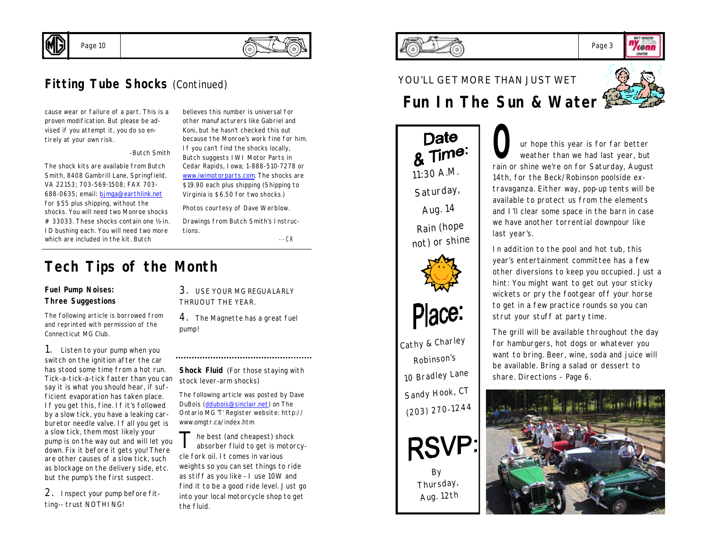

# **Fitting Tube Shocks** (Continued)

cause wear or failure of a part. This is a proven modification. But please be advised if you attempt it, you do so entirely at your own risk.

Page 10

*-Butch Smith*

*The shock kits are available from Butch Smith, 8408 Gambrill Lane, Springfield, VA 22153; 703-569-1508; FAX 703- 688-0635; email: bjmga@earthlink.net for \$55 plus shipping, without the shocks. You will need two Monroe shocks # 33033. These shocks contain one ½-in. ID bushing each. You will need two more which are included in the kit. Butch* 

*other manufacturers like Gabriel and Koni, but he hasn't checked this out because the Monroe's work fine for him. If you can't find the shocks locally, Butch suggests IWI Motor Parts in Cedar Rapids, Iowa; 1-888-510-7278 or www.iwimotorparts.com. The shocks are \$19.90 each plus shipping (Shipping to Virginia is \$6.50 for two shocks.)*

*believes this number is universal for* 

*Photos courtesy of Dave Werblow. Drawings from Butch Smith's Instruc-*

*tions.*

*--CR*

# **Tech Tips of the Month**

### **Fuel Pump Noises: Three Suggestions**

*The following article is borrowed from and reprinted with permission of the Connecticut MG Club.*

1. Listen to your pump when you switch on the ignition after the car has stood some time from a hot run. *Tick-a-tick-a-tick* faster than you can say it is what you should hear, if sufficient evaporation has taken place. If you get this, fine. If it's followed by a slow tick, you have a leaking carburetor needle valve. If all you get is a slow tick, them most likely your pump is on the way out and will let you down. Fix it before it gets you! There are other causes of a slow tick, such as blockage on the delivery side, etc. but the pump's the first suspect.

2. Inspect your pump before fitting-- trust NOTHI NG!

3. USE YOUR MG REGUALARLY THRUOUT THE YEAR.

4. The Magnette has a great fuel pump!

**Shock Fluid** (For those staying with stock lever-arm shocks)

*The following article was posted by Dave DuBois (*ddubois@sinclair.net*) on The Ontario MG 'T' Register website: http:// www.omgtr.ca/index.htm*

T he best (and cheapest) shock absorber fluid to get is motorcycle fork oil. It comes in various weights so you can set things to ride as stiff as you like - I use 10W and find it to be a good ride level. Just go into your local motorcycle shop to get the fluid.

#### Page 3 **Zeemn**

# YOU'LL GET MORE THAN JUST WET



**CRAFTIN** 

# **Fun In The Sun & Water**



*By Thursday, Aug. 12th*

**O**ur hope this year is for far better weather than we had last year, but rain or shine we're on for Saturday, August weather than we had last year, but 14th, for the Beck/Robinson poolside extravaganza. Either way, pop-up tents will be available to protect us from the elements and I'll clear some space in the barn in case we have another torrential downpour like last year's.

In addition to the pool and hot tub, this year's entertainment committee has a few other diversions to keep you occupied. Just a hint: You might want to get out your sticky wickets or pry the footgear off your horse to get in a few practice rounds so you can strut your stuff at party time.

The grill will be available throughout the day for hamburgers, hot dogs or whatever you want to bring. Beer, wine, soda and juice will be available. Bring a salad or dessert to share. Directions - Page 6.

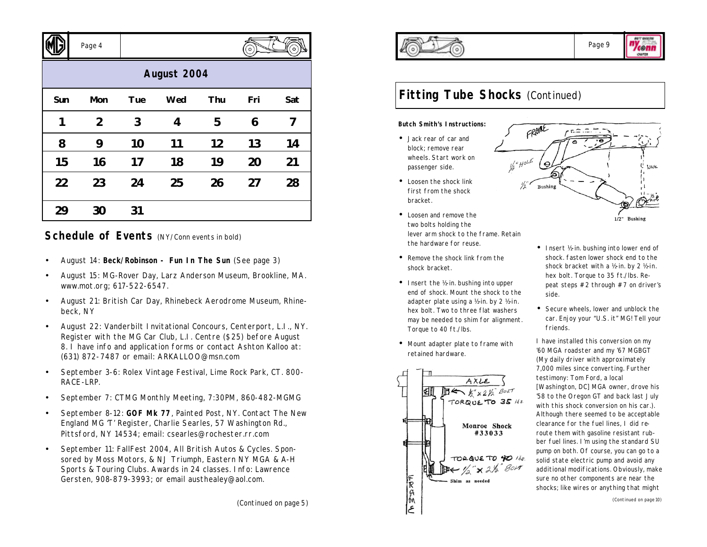|             | Page 4         |     |     |     | $\circ$ |     |  |
|-------------|----------------|-----|-----|-----|---------|-----|--|
| August 2004 |                |     |     |     |         |     |  |
| Sun         | Mon            | Tue | Wed | Thu | Fri     | Sat |  |
| 1           | $\overline{2}$ | 3   | 4   | 5   | 6       | 7   |  |
| 8           | 9              | 10  | 11  | 12  | 13      | 14  |  |
| 15          | 16             | 17  | 18  | 19  | 20      | 21  |  |
| 22          | 23             | 24  | 25  | 26  | 27      | 28  |  |
| 29          | 30             | 31  |     |     |         |     |  |

## **Schedule of Events** (NY/Conn events in bold)

- August 14: **Beck/Robinson Fun In The Sun** (See page 3)
- August 15: MG-Rover Day, Larz Anderson Museum, Brookline, MA. www.mot.org; 617-522-6547.
- August 21: British Car Day, Rhinebeck Aerodrome Museum, Rhinebeck, NY
- August 22: Vanderbilt Invitational Concours, Centerport, L.I., NY. Register with the MG Car Club, L.I. Centre (\$25) before August 8. I have info and application forms or contact Ashton Kalloo at: (631) 872-7487 or email: ARKALLOO@msn.com
- September 3-6: Rolex Vintage Festival, Lime Rock Park, CT. 800- RACE-LRP.
- September 7: CTMG Monthly Meeting, 7:30PM, 860-482-MGMG
- September 8-12: **GOF Mk 77**, Painted Post, NY. Contact The New England MG 'T' Register, Charlie Searles, 57 Washington Rd., Pittsford, NY 14534; email: csearles@rochester.rr.com
- September 11: FallFest 2004, All British Autos & Cycles. Sponsored by Moss Motors, & NJ Triumph, Eastern NY MGA & A-H Sports & Touring Clubs. Awards in 24 classes. Info: Lawrence Gersten, 908-879-3993; or email austhealey@aol.com.



"Yeenn **CHAPTER** 

tusk

1/2" Bushing

#### **Butch Smith's Instructions:**

- Jack rear of car and block; remove rear wheels. Start work on passenger side.
- Loosen the shock link first from the shock bracket.
- Loosen and remove the two bolts holding the lever arm shock to the frame. Retain the hardware for reuse.
- Remove the shock link from the shock bracket.
- Insert the ½-in. bushing into upper end of shock. Mount the shock to the adapter plate using a ½-in. by 2 ½-in. hex bolt. Two to three flat washers may be needed to shim for alignment. Torque to 40 ft./lbs.
- Mount adapter plate to frame with retained hardware.





side.

FRAME

Bushin

• Secure wheels, lower and unblock the car. Enjoy your "U.S. it" MG! Tell your friends.

I have installed this conversion on my '60 MGA roadster and my '67 MGBGT (My daily driver with approximately 7,000 miles since converting. Further testimony: Tom Ford, a local *[Washington, DC]* MGA owner, drove his '58 to the Oregon GT and back last July with this shock conversion on his car.). Although there seemed to be acceptable clearance for the fuel lines, I did reroute them with gasoline resistant rubber fuel lines. I'm using the standard SU pump on both. Of course, you can go to a solid state electric pump and avoid any additional modifications. Obviously, make sure no other components are near the shocks; like wires or anything that might

*(Continued on page 10)*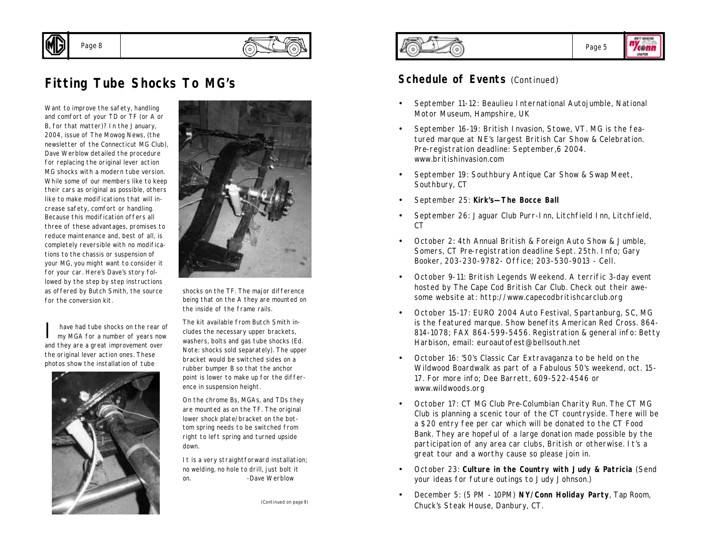

Page 8

*Want to improve the safety, handling and comfort of your TD or TF (or A or B, for that matter)? In the January, 2004, issue of The Mowog News, (the newsletter of the Connecticut MG Club), Dave Werblow detailed the procedure for replacing the original lever action MG shocks with a modern tube version. While some of our members like to keep their cars as original as possible, others like to make modifications that will increase safety, comfort or handling. Because this modification offers all three of these advantages, promises to reduce maintenance and, best of all, is completely reversible with no modifications to the chassis or suspension of your MG, you might want to consider it for your car. Here's Dave's story followed by the step by step instructions as offered by Butch Smith, the source for the conversion kit.*

I have had tube shocks on the rear of my MGA for a number of years now and they are a great improvement over the original lever action ones. These photos show the installation of tube





shocks on the TF. The major difference being that on the A they are mounted on the inside of the frame rails.

The kit available from Butch Smith includes the necessary upper brackets, washers, bolts and gas tube shocks (*Ed. Note: shocks sold separately*). The upper bracket would be switched sides on a rubber bumper B so that the anchor point is lower to make up for the difference in suspension height.

On the chrome Bs, MGAs, and TDs they are mounted as on the TF. The original lower shock plate/bracket on the bottom spring needs to be switched from right to left spring and turned upside down.

It is a very straightforward installation; no welding, no hole to drill, just bolt it on. *-Dave Werblow*

*(Continued on page 9)*





### **Schedule of Events** (Continued)

- September 11-12: Beaulieu International Autojumble, National Motor Museum, Hampshire, UK
- September 16-19: British Invasion, Stowe, VT. MG is the featured marque at NE's largest British Car Show & Celebration. Pre-registration deadline: September,6 2004. www.britishinvasion.com
- September 19: Southbury Antique Car Show & Swap Meet, Southbury, CT
- September 25: **Kirk's—The Bocce Ball**
- September 26: Jaguar Club Purr-Inn, Litchfield Inn, Litchfield,  $C<sub>CT</sub>$
- October 2: 4th Annual British & Foreign Auto Show & Jumble, Somers, CT Pre-registration deadline Sept. 25th. Info; Gary Booker, 203-230-9782- Office; 203-530-9013 - Cell.
- October 9-11: British Legends Weekend. A terrific 3-day event hosted by The Cape Cod British Car Club. Check out their awesome website at: http://www.capecodbritishcarclub.org
- October 15-17: EURO 2004 Auto Festival, Spartanburg, SC, MG is the featured marque. Show benefits American Red Cross. 864- 814-1078; FAX 864-599-5456. Registration & general info: Betty Harbison, email: euroautofest@bellsouth.net
- October 16: '50's Classic Car Extravaganza to be held on the Wildwood Boardwalk as part of a Fabulous 50's weekend, oct. 15- 17. For more info; Dee Barrett, 609-522-4546 or www.wildwoods.org
- October 17: CT MG Club Pre-Columbian Charity Run. The CT MG Club is planning a scenic tour of the CT countryside. There will be a \$20 entry fee per car which will be donated to the CT Food Bank. They are hopeful of a large donation made possible by the participation of any area car clubs, British or otherwise. It's a great tour and a worthy cause so please join in.
- October 23: **Culture in the Country with Judy & Patricia** (Send your ideas for future outings to Judy Johnson.)
- December 5: (5 PM 10PM) **NY/Conn Holiday Party**, Tap Room, Chuck's Steak House, Danbury, CT.